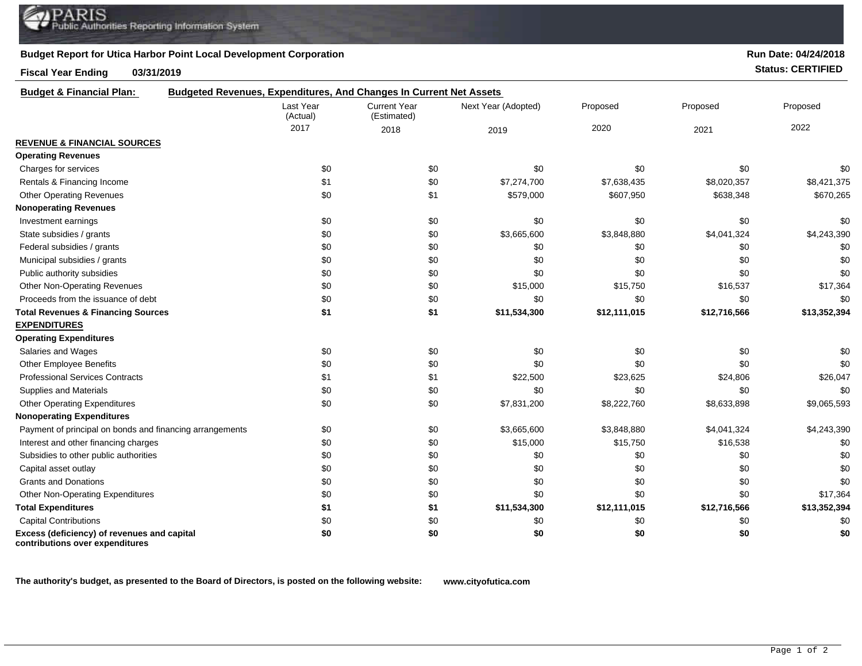## **Budget Report for Utica Harbor Point Local Development Corporation**

## **Fiscal Year Ending 03/31/2019 Status: CERTIFIED**

| <b>Budget &amp; Financial Plan:</b>                                            | Budgeted Revenues, Expenditures, And Changes In Current Net Assets |                                    |                     |              |              |              |
|--------------------------------------------------------------------------------|--------------------------------------------------------------------|------------------------------------|---------------------|--------------|--------------|--------------|
|                                                                                | Last Year<br>(Actual)                                              | <b>Current Year</b><br>(Estimated) | Next Year (Adopted) | Proposed     | Proposed     | Proposed     |
|                                                                                | 2017                                                               | 2018                               | 2019                | 2020         | 2021         | 2022         |
| <b>REVENUE &amp; FINANCIAL SOURCES</b>                                         |                                                                    |                                    |                     |              |              |              |
| <b>Operating Revenues</b>                                                      |                                                                    |                                    |                     |              |              |              |
| Charges for services                                                           | \$0                                                                | \$0                                | \$0                 | \$0          | \$0          | \$0          |
| Rentals & Financing Income                                                     | \$1                                                                | \$0                                | \$7,274,700         | \$7,638,435  | \$8,020,357  | \$8,421,375  |
| <b>Other Operating Revenues</b>                                                | \$0                                                                | \$1                                | \$579,000           | \$607,950    | \$638,348    | \$670,265    |
| <b>Nonoperating Revenues</b>                                                   |                                                                    |                                    |                     |              |              |              |
| Investment earnings                                                            | \$0                                                                | \$0                                | \$0                 | \$0          | \$0          | \$0          |
| State subsidies / grants                                                       | \$0                                                                | \$0                                | \$3,665,600         | \$3,848,880  | \$4,041,324  | \$4,243,390  |
| Federal subsidies / grants                                                     | \$0                                                                | \$0                                | \$0                 | \$0          | \$0          | \$0          |
| Municipal subsidies / grants                                                   | \$0                                                                | \$0                                | \$0                 | \$0          | \$0          | \$0          |
| Public authority subsidies                                                     | \$0                                                                | \$0                                | \$0                 | \$0          | \$0          | \$0          |
| <b>Other Non-Operating Revenues</b>                                            | \$0                                                                | \$0                                | \$15,000            | \$15,750     | \$16,537     | \$17,364     |
| Proceeds from the issuance of debt                                             | \$0                                                                | \$0                                | \$0                 | \$0          | \$0          | \$0          |
| <b>Total Revenues &amp; Financing Sources</b>                                  | \$1                                                                | \$1                                | \$11,534,300        | \$12,111,015 | \$12,716,566 | \$13,352,394 |
| <b>EXPENDITURES</b>                                                            |                                                                    |                                    |                     |              |              |              |
| <b>Operating Expenditures</b>                                                  |                                                                    |                                    |                     |              |              |              |
| Salaries and Wages                                                             | \$0                                                                | \$0                                | \$0                 | \$0          | \$0          | \$0          |
| <b>Other Employee Benefits</b>                                                 | \$0                                                                | \$0                                | \$0                 | \$0          | \$0          | \$0          |
| <b>Professional Services Contracts</b>                                         | \$1                                                                | \$1                                | \$22,500            | \$23,625     | \$24,806     | \$26,047     |
| Supplies and Materials                                                         | \$0                                                                | \$0                                | \$0                 | \$0          | \$0          | \$0          |
| <b>Other Operating Expenditures</b>                                            | \$0                                                                | \$0                                | \$7,831,200         | \$8,222,760  | \$8,633,898  | \$9,065,593  |
| <b>Nonoperating Expenditures</b>                                               |                                                                    |                                    |                     |              |              |              |
| Payment of principal on bonds and financing arrangements                       | \$0                                                                | \$0                                | \$3,665,600         | \$3,848,880  | \$4,041,324  | \$4,243,390  |
| Interest and other financing charges                                           | \$0                                                                | \$0                                | \$15,000            | \$15,750     | \$16,538     | \$0          |
| Subsidies to other public authorities                                          | \$0                                                                | \$0                                | \$0                 | \$0          | \$0          | \$0          |
| Capital asset outlay                                                           | \$0                                                                | \$0                                | \$0                 | \$0          | \$0          | \$0          |
| <b>Grants and Donations</b>                                                    | \$0                                                                | \$0                                | \$0                 | \$0          | \$0          | \$0          |
| <b>Other Non-Operating Expenditures</b>                                        | \$0                                                                | \$0                                | \$0                 | \$0          | \$0          | \$17,364     |
| <b>Total Expenditures</b>                                                      | \$1                                                                | \$1                                | \$11,534,300        | \$12,111,015 | \$12,716,566 | \$13,352,394 |
| <b>Capital Contributions</b>                                                   | \$0                                                                | \$0                                | \$0                 | \$0          | \$0          | \$0          |
| Excess (deficiency) of revenues and capital<br>contributions over expenditures | \$0                                                                | \$0                                | \$0                 | \$0          | \$0          | \$0          |

**The authority's budget, as presented to the Board of Directors, is posted on the following website: www.cityofutica.com**